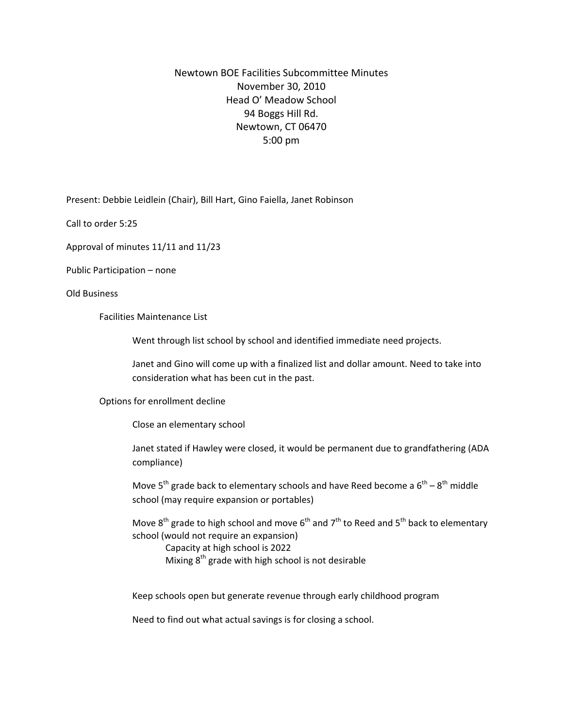## Newtown BOE Facilities Subcommittee Minutes November 30, 2010 Head O' Meadow School 94 Boggs Hill Rd. Newtown, CT 06470 5:00 pm

Present: Debbie Leidlein (Chair), Bill Hart, Gino Faiella, Janet Robinson

Call to order 5:25

Approval of minutes 11/11 and 11/23

Public Participation – none

Old Business

Facilities Maintenance List

Went through list school by school and identified immediate need projects.

Janet and Gino will come up with a finalized list and dollar amount. Need to take into consideration what has been cut in the past.

Options for enrollment decline

Close an elementary school

Janet stated if Hawley were closed, it would be permanent due to grandfathering (ADA compliance)

Move  $5^{th}$  grade back to elementary schools and have Reed become a  $6^{th} - 8^{th}$  middle school (may require expansion or portables)

Move  $8^{th}$  grade to high school and move  $6^{th}$  and  $7^{th}$  to Reed and  $5^{th}$  back to elementary school (would not require an expansion)

Capacity at high school is 2022 Mixing  $8<sup>th</sup>$  grade with high school is not desirable

Keep schools open but generate revenue through early childhood program

Need to find out what actual savings is for closing a school.